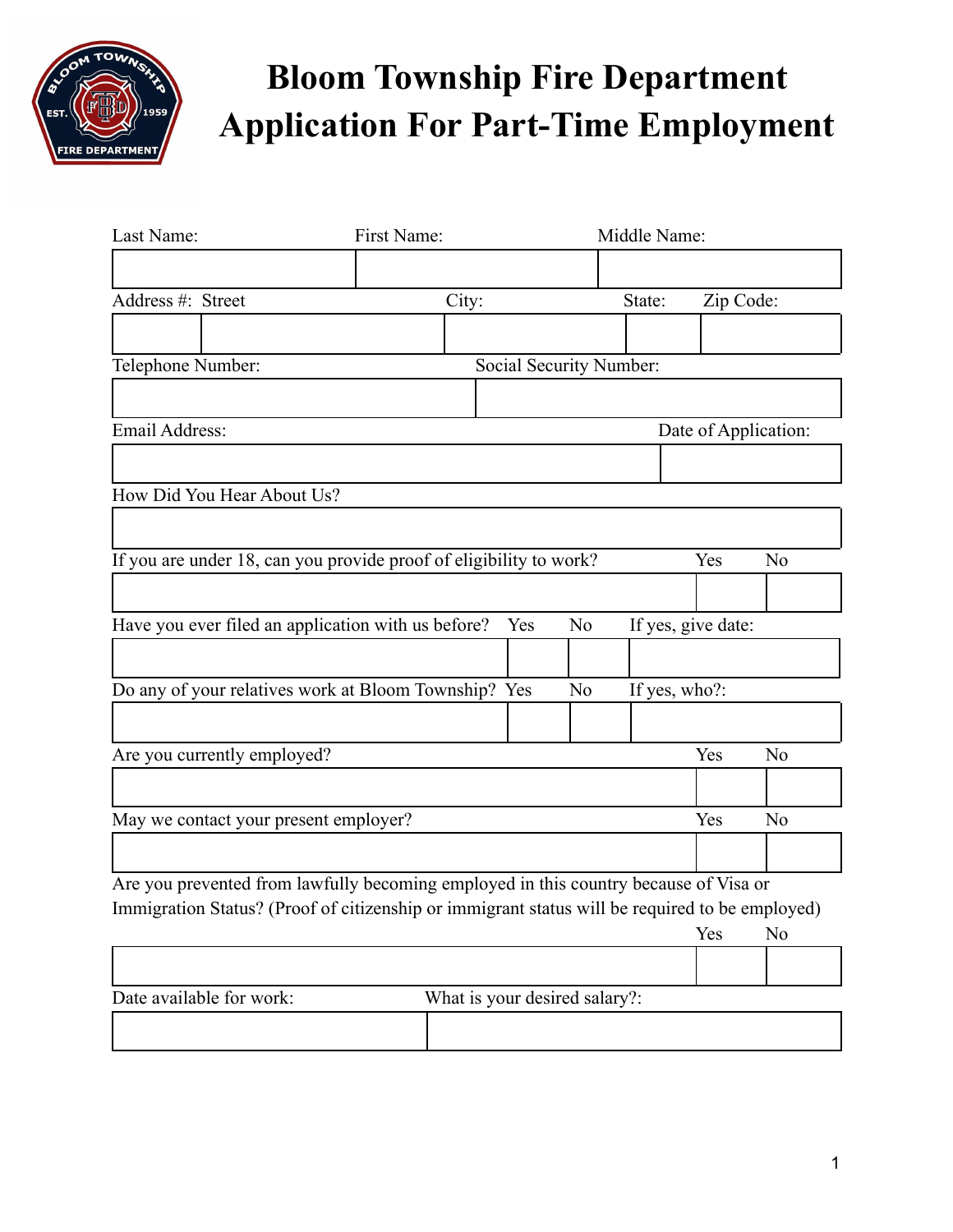

| Last Name:                                                                                     | First Name: |                               |                | Middle Name:  |                    |                      |
|------------------------------------------------------------------------------------------------|-------------|-------------------------------|----------------|---------------|--------------------|----------------------|
|                                                                                                |             |                               |                |               |                    |                      |
| Address #: Street                                                                              | City:       |                               |                | State:        | Zip Code:          |                      |
|                                                                                                |             |                               |                |               |                    |                      |
| Telephone Number:                                                                              |             | Social Security Number:       |                |               |                    |                      |
|                                                                                                |             |                               |                |               |                    |                      |
| Email Address:                                                                                 |             |                               |                |               |                    | Date of Application: |
|                                                                                                |             |                               |                |               |                    |                      |
| How Did You Hear About Us?                                                                     |             |                               |                |               |                    |                      |
|                                                                                                |             |                               |                |               |                    |                      |
| If you are under 18, can you provide proof of eligibility to work?                             |             |                               |                |               | Yes                | N <sub>o</sub>       |
|                                                                                                |             |                               |                |               |                    |                      |
| Have you ever filed an application with us before?                                             |             | Yes                           | N <sub>o</sub> |               | If yes, give date: |                      |
|                                                                                                |             |                               |                |               |                    |                      |
| Do any of your relatives work at Bloom Township? Yes                                           |             |                               | N <sub>0</sub> | If yes, who?: |                    |                      |
|                                                                                                |             |                               |                |               |                    |                      |
|                                                                                                |             |                               |                |               | Yes                |                      |
| Are you currently employed?                                                                    |             |                               |                |               |                    | N <sub>0</sub>       |
|                                                                                                |             |                               |                |               |                    |                      |
| May we contact your present employer?                                                          |             |                               |                |               | Yes                | N <sub>o</sub>       |
|                                                                                                |             |                               |                |               |                    |                      |
| Are you prevented from lawfully becoming employed in this country because of Visa or           |             |                               |                |               |                    |                      |
| Immigration Status? (Proof of citizenship or immigrant status will be required to be employed) |             |                               |                |               | Yes                | No                   |
|                                                                                                |             |                               |                |               |                    |                      |
|                                                                                                |             |                               |                |               |                    |                      |
| Date available for work:                                                                       |             | What is your desired salary?: |                |               |                    |                      |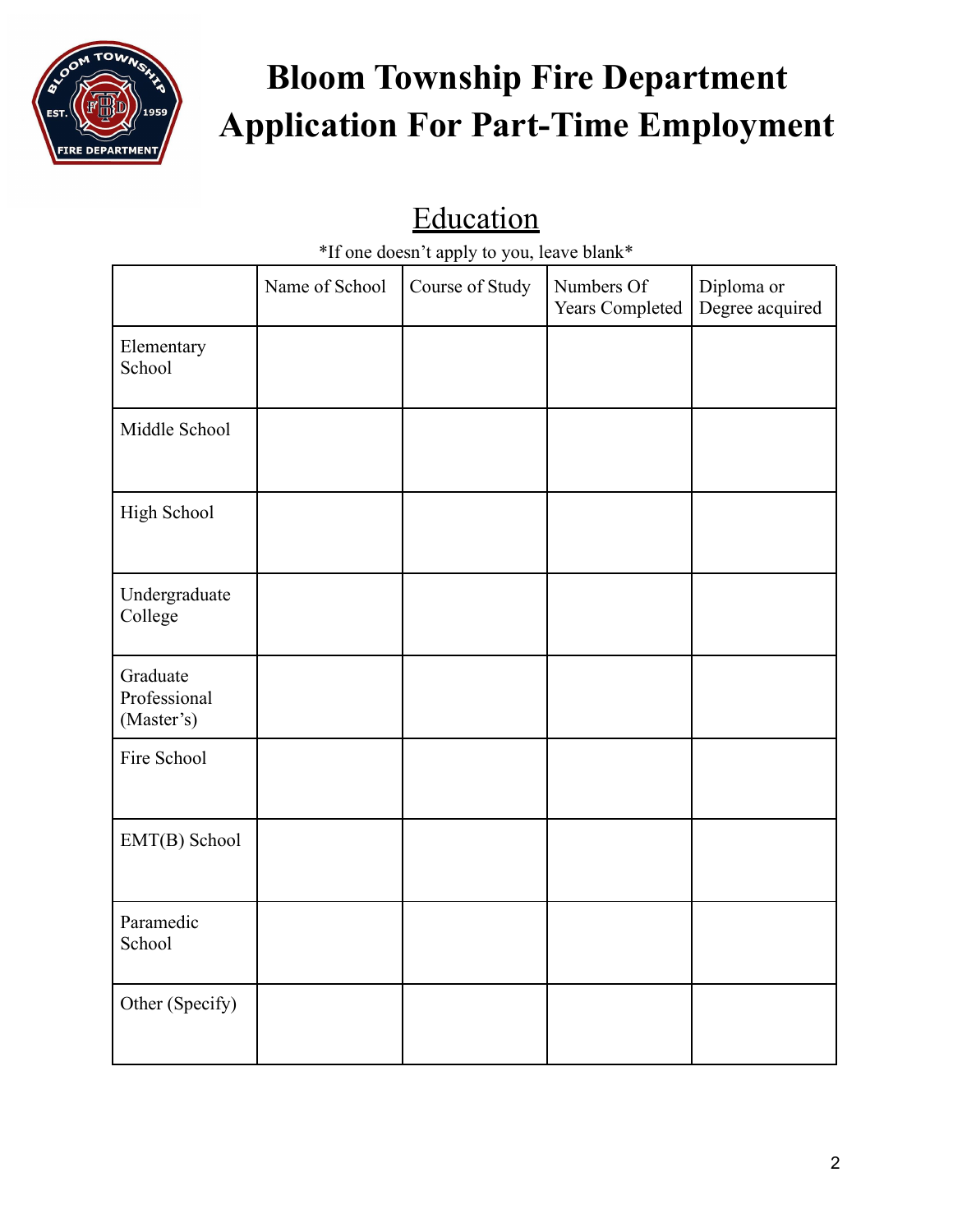

#### Education

\*If one doesn't apply to you, leave blank\*

|                                        | Name of School | Course of Study | Numbers Of<br>Years Completed | Diploma or<br>Degree acquired |
|----------------------------------------|----------------|-----------------|-------------------------------|-------------------------------|
| Elementary<br>School                   |                |                 |                               |                               |
| Middle School                          |                |                 |                               |                               |
| High School                            |                |                 |                               |                               |
| Undergraduate<br>College               |                |                 |                               |                               |
| Graduate<br>Professional<br>(Master's) |                |                 |                               |                               |
| Fire School                            |                |                 |                               |                               |
| EMT(B) School                          |                |                 |                               |                               |
| Paramedic<br>School                    |                |                 |                               |                               |
| Other (Specify)                        |                |                 |                               |                               |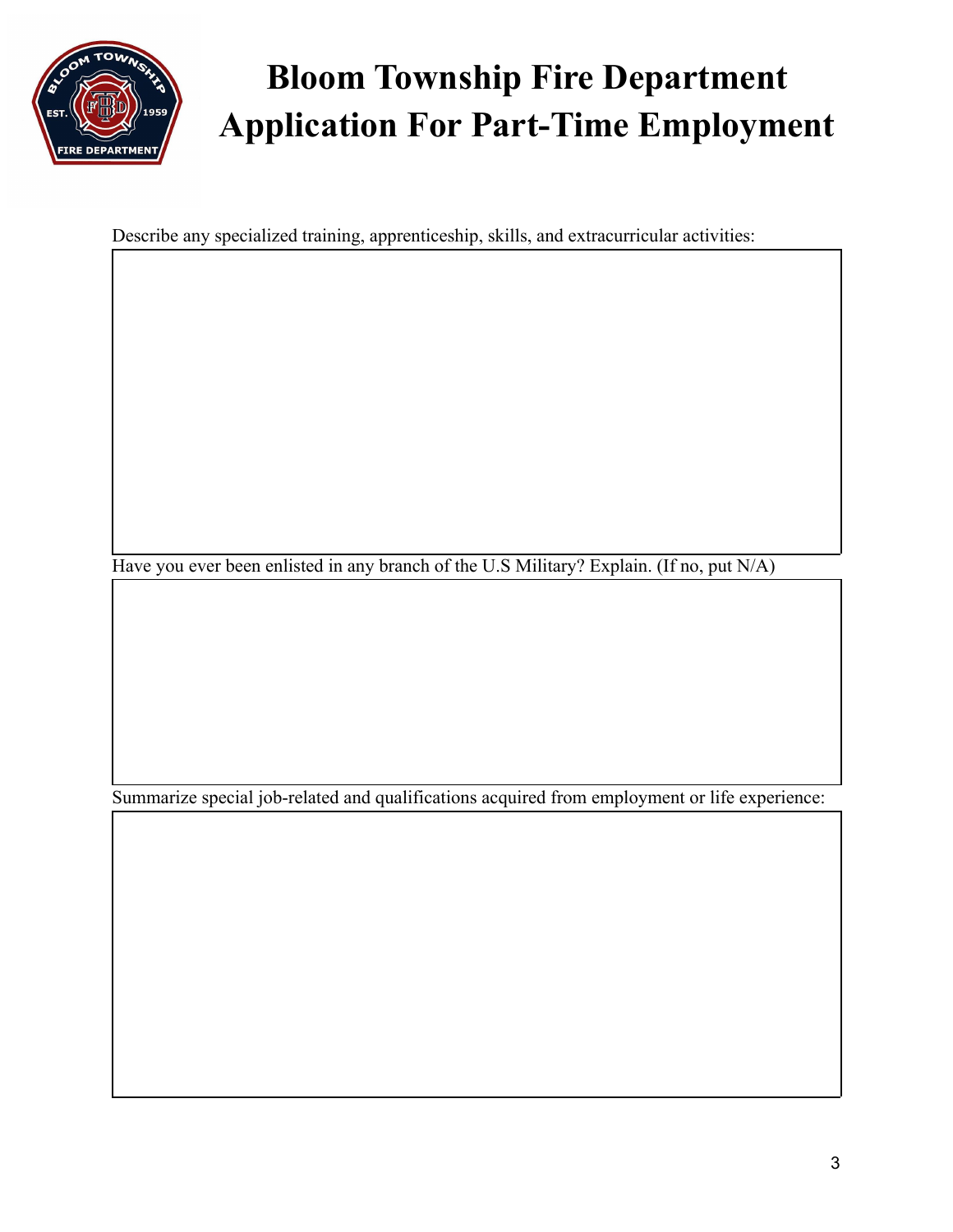

Describe any specialized training, apprenticeship, skills, and extracurricular activities:

Have you ever been enlisted in any branch of the U.S Military? Explain. (If no, put N/A)

Summarize special job-related and qualifications acquired from employment or life experience: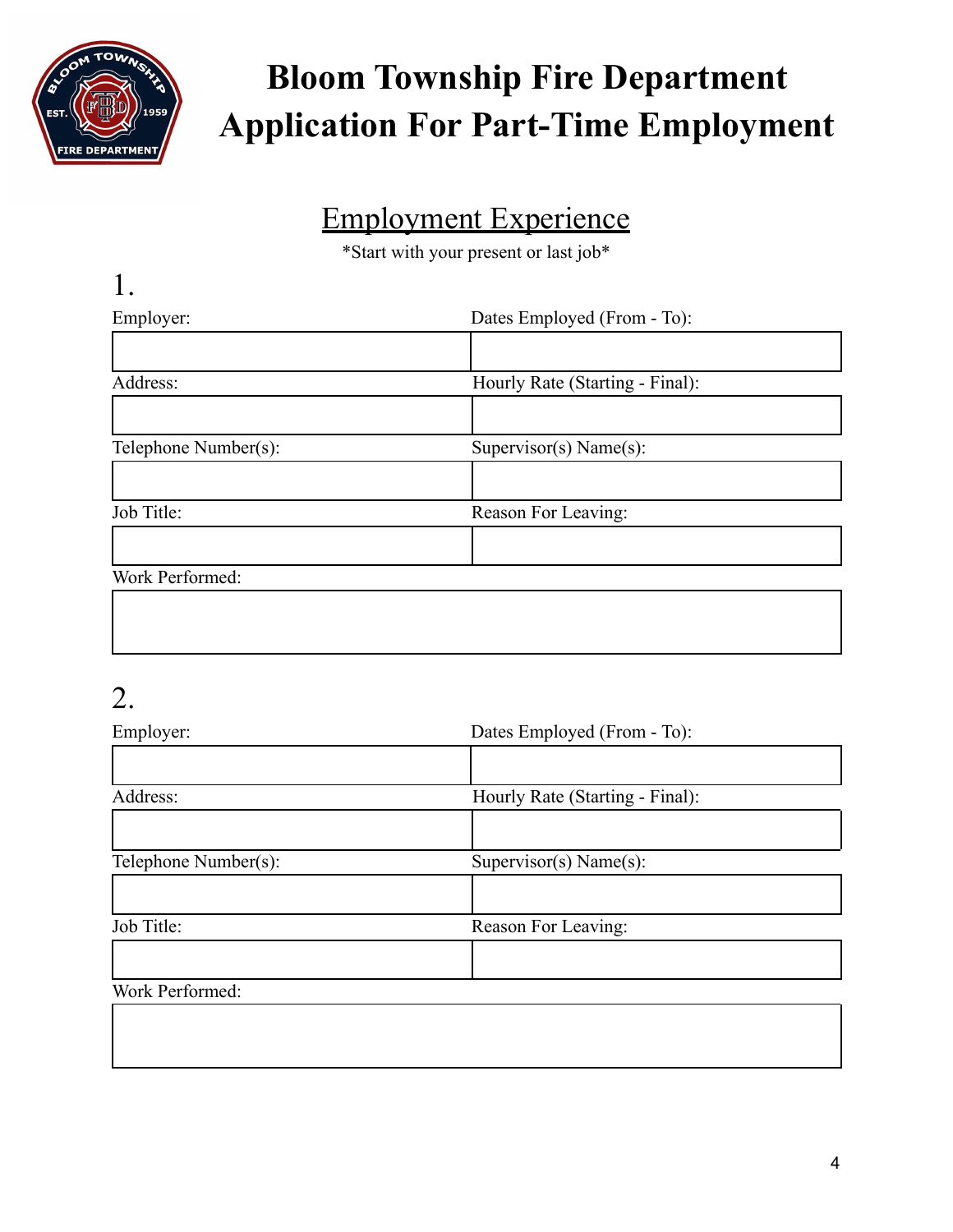

#### Employment Experience

\*Start with your present or last job\*

| Employer:            | Dates Employed (From - To):     |
|----------------------|---------------------------------|
|                      |                                 |
| Address:             | Hourly Rate (Starting - Final): |
|                      |                                 |
| Telephone Number(s): | Supervisor(s) Name(s):          |
|                      |                                 |
| Job Title:           | Reason For Leaving:             |
|                      |                                 |
| Work Performed:      |                                 |

#### 2.

| Employer:            | Dates Employed (From - To):     |  |
|----------------------|---------------------------------|--|
|                      |                                 |  |
| Address:             | Hourly Rate (Starting - Final): |  |
|                      |                                 |  |
| Telephone Number(s): | Supervisor(s) Name(s):          |  |
|                      |                                 |  |
| Job Title:           | Reason For Leaving:             |  |
|                      |                                 |  |
| Work Performed:      |                                 |  |
|                      |                                 |  |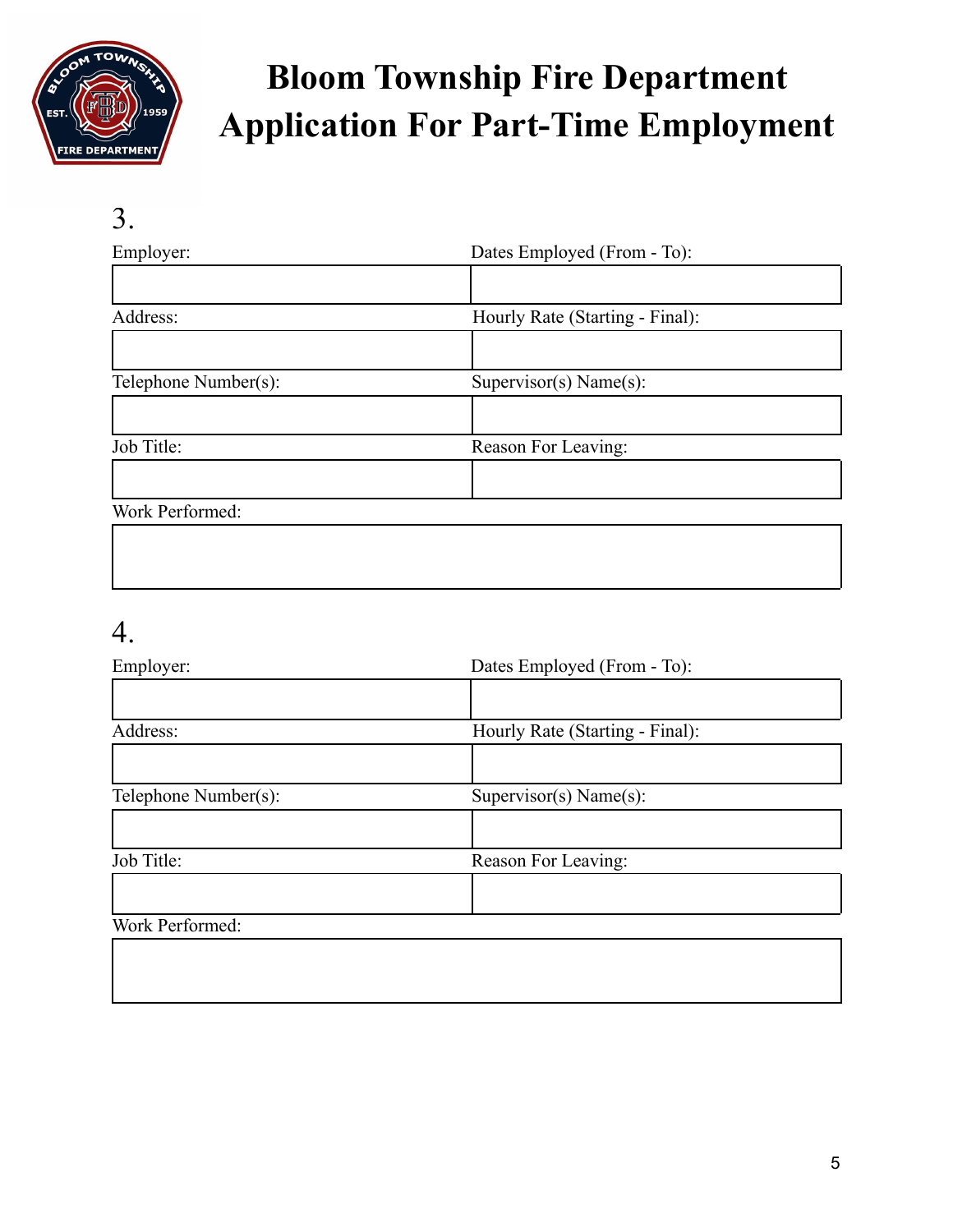

#### 3.

| Employer:            | Dates Employed (From - To):     |  |  |
|----------------------|---------------------------------|--|--|
|                      |                                 |  |  |
| Address:             | Hourly Rate (Starting - Final): |  |  |
|                      |                                 |  |  |
| Telephone Number(s): | Supervisor(s) Name(s):          |  |  |
|                      |                                 |  |  |
| Job Title:           | Reason For Leaving:             |  |  |
|                      |                                 |  |  |
| $Worb$ Dorformod:    |                                 |  |  |

#### Work Performed:

#### 4.

| Employer:            | Dates Employed (From - To):     |  |
|----------------------|---------------------------------|--|
|                      |                                 |  |
| Address:             | Hourly Rate (Starting - Final): |  |
|                      |                                 |  |
| Telephone Number(s): | Supervisor(s) Name(s):          |  |
|                      |                                 |  |
| Job Title:           | Reason For Leaving:             |  |
|                      |                                 |  |
| Work Performed:      |                                 |  |